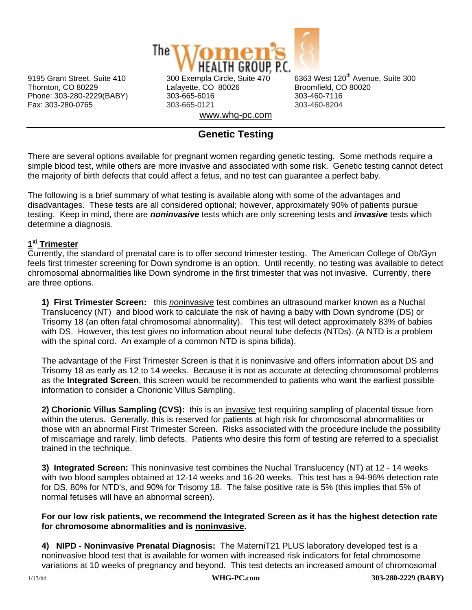

Thornton, CO 80229 Lafayette, CO 80026 Broomfield, CO 80020 Phone: 303-280-2229(BABY) 303-665-6016 303-460-7116 Fax: 303-280-0765 303-665-0121 303-460-8204 www.whg-pc.com

9195 Grant Street, Suite 410 300 Exempla Circle, Suite 470 6363 West 120<sup>th</sup> Avenue, Suite 300

# **Genetic Testing**

There are several options available for pregnant women regarding genetic testing. Some methods require a simple blood test, while others are more invasive and associated with some risk. Genetic testing cannot detect the majority of birth defects that could affect a fetus, and no test can guarantee a perfect baby.

The following is a brief summary of what testing is available along with some of the advantages and disadvantages. These tests are all considered optional; however, approximately 90% of patients pursue testing. Keep in mind, there are *noninvasive* tests which are only screening tests and *invasive* tests which determine a diagnosis.

## **1st Trimester**

Currently, the standard of prenatal care is to offer second trimester testing. The American College of Ob/Gyn feels first trimester screening for Down syndrome is an option. Until recently, no testing was available to detect chromosomal abnormalities like Down syndrome in the first trimester that was not invasive. Currently, there are three options.

**1) First Trimester Screen:** this *non*invasive test combines an ultrasound marker known as a Nuchal Translucency (NT) and blood work to calculate the risk of having a baby with Down syndrome (DS) or Trisomy 18 (an often fatal chromosomal abnormality). This test will detect approximately 83% of babies with DS. However, this test gives no information about neural tube defects (NTDs). (A NTD is a problem with the spinal cord. An example of a common NTD is spina bifida).

The advantage of the First Trimester Screen is that it is noninvasive and offers information about DS and Trisomy 18 as early as 12 to 14 weeks. Because it is not as accurate at detecting chromosomal problems as the **Integrated Screen**, this screen would be recommended to patients who want the earliest possible information to consider a Chorionic Villus Sampling.

**2) Chorionic Villus Sampling (CVS):** this is an invasive test requiring sampling of placental tissue from within the uterus. Generally, this is reserved for patients at high risk for chromosomal abnormalities or those with an abnormal First Trimester Screen. Risks associated with the procedure include the possibility of miscarriage and rarely, limb defects. Patients who desire this form of testing are referred to a specialist trained in the technique.

**3) Integrated Screen:** This noninvasive test combines the Nuchal Translucency (NT) at 12 - 14 weeks with two blood samples obtained at 12-14 weeks and 16-20 weeks. This test has a 94-96% detection rate for DS, 80% for NTD's, and 90% for Trisomy 18. The false positive rate is 5% (this implies that 5% of normal fetuses will have an abnormal screen).

#### **For our low risk patients, we recommend the Integrated Screen as it has the highest detection rate for chromosome abnormalities and is noninvasive.**

**4) NIPD - Noninvasive Prenatal Diagnosis:** The MaterniT21 PLUS laboratory developed test is a noninvasive blood test that is available for women with increased risk indicators for fetal chromosome variations at 10 weeks of pregnancy and beyond. This test detects an increased amount of chromosomal